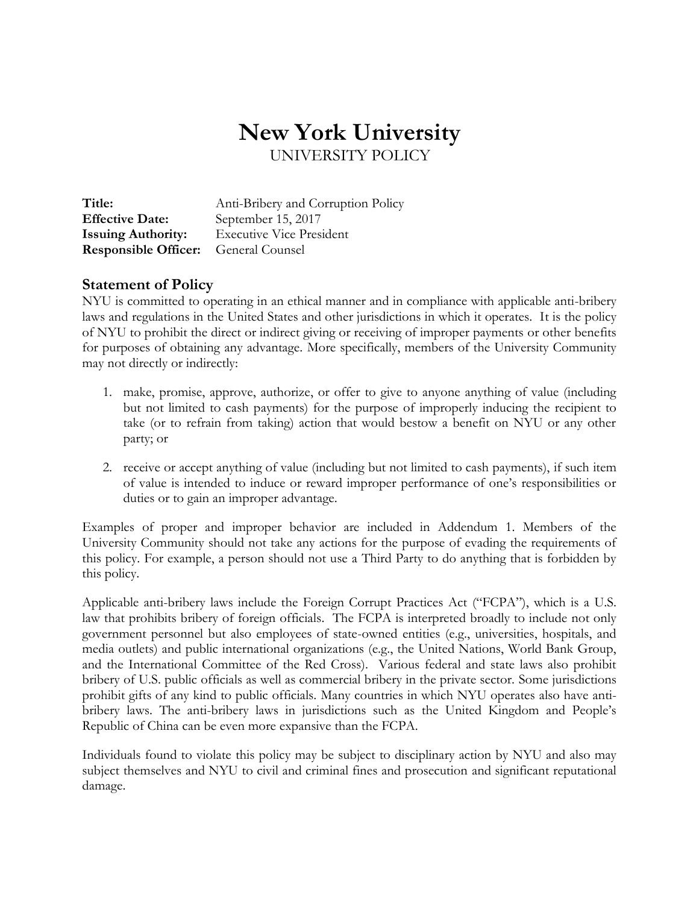# **New York University** UNIVERSITY POLICY

| Title:                                      | Anti-Bribery and Corruption Policy |
|---------------------------------------------|------------------------------------|
| <b>Effective Date:</b>                      | September 15, 2017                 |
| <b>Issuing Authority:</b>                   | <b>Executive Vice President</b>    |
| <b>Responsible Officer:</b> General Counsel |                                    |

## **Statement of Policy**

NYU is committed to operating in an ethical manner and in compliance with applicable anti-bribery laws and regulations in the United States and other jurisdictions in which it operates. It is the policy of NYU to prohibit the direct or indirect giving or receiving of improper payments or other benefits for purposes of obtaining any advantage. More specifically, members of the University Community may not directly or indirectly:

- 1. make, promise, approve, authorize, or offer to give to anyone anything of value (including but not limited to cash payments) for the purpose of improperly inducing the recipient to take (or to refrain from taking) action that would bestow a benefit on NYU or any other party; or
- 2. receive or accept anything of value (including but not limited to cash payments), if such item of value is intended to induce or reward improper performance of one's responsibilities or duties or to gain an improper advantage.

Examples of proper and improper behavior are included in Addendum 1. Members of the University Community should not take any actions for the purpose of evading the requirements of this policy. For example, a person should not use a Third Party to do anything that is forbidden by this policy.

Applicable anti-bribery laws include the Foreign Corrupt Practices Act ("FCPA"), which is a U.S. law that prohibits bribery of foreign officials. The FCPA is interpreted broadly to include not only government personnel but also employees of state-owned entities (e.g., universities, hospitals, and media outlets) and public international organizations (e.g., the United Nations, World Bank Group, and the International Committee of the Red Cross). Various federal and state laws also prohibit bribery of U.S. public officials as well as commercial bribery in the private sector. Some jurisdictions prohibit gifts of any kind to public officials. Many countries in which NYU operates also have antibribery laws. The anti-bribery laws in jurisdictions such as the United Kingdom and People's Republic of China can be even more expansive than the FCPA.

Individuals found to violate this policy may be subject to disciplinary action by NYU and also may subject themselves and NYU to civil and criminal fines and prosecution and significant reputational damage.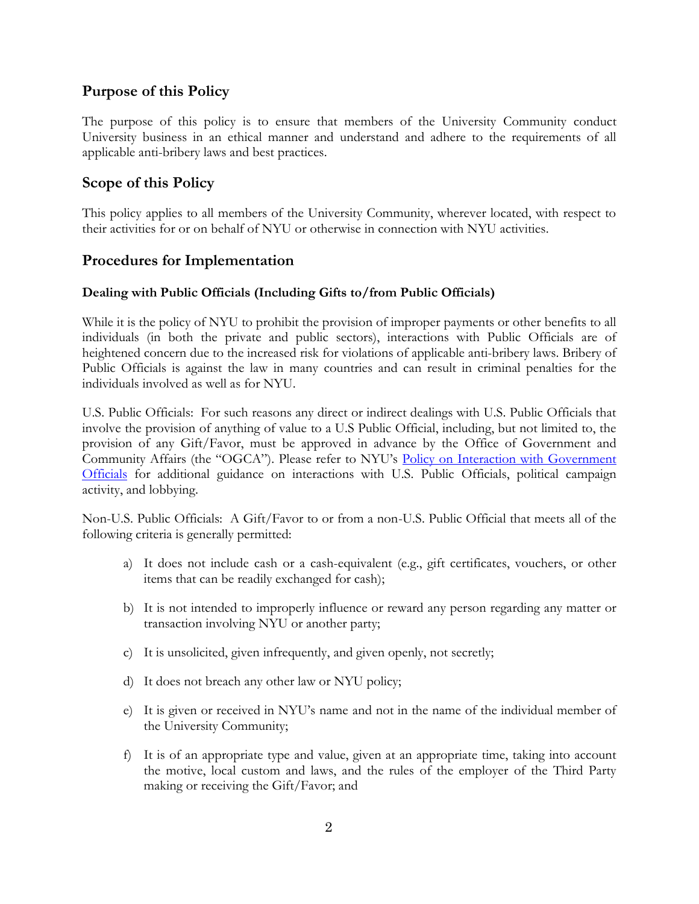# **Purpose of this Policy**

The purpose of this policy is to ensure that members of the University Community conduct University business in an ethical manner and understand and adhere to the requirements of all applicable anti-bribery laws and best practices.

# **Scope of this Policy**

This policy applies to all members of the University Community, wherever located, with respect to their activities for or on behalf of NYU or otherwise in connection with NYU activities.

## **Procedures for Implementation**

### **Dealing with Public Officials (Including Gifts to/from Public Officials)**

While it is the policy of NYU to prohibit the provision of improper payments or other benefits to all individuals (in both the private and public sectors), interactions with Public Officials are of heightened concern due to the increased risk for violations of applicable anti-bribery laws. Bribery of Public Officials is against the law in many countries and can result in criminal penalties for the individuals involved as well as for NYU.

U.S. Public Officials: For such reasons any direct or indirect dealings with U.S. Public Officials that involve the provision of anything of value to a U.S Public Official, including, but not limited to, the provision of any Gift/Favor, must be approved in advance by the Office of Government and Community Affairs (the "OGCA"). Please refer to NYU's Policy on Interaction with Government [Officials](https://www.nyu.edu/about/policies-guidelines-compliance/policies-and-guidelines/interaction-with-government-officials.html) for additional guidance on interactions with U.S. Public Officials, political campaign activity, and lobbying.

Non-U.S. Public Officials: A Gift/Favor to or from a non-U.S. Public Official that meets all of the following criteria is generally permitted:

- a) It does not include cash or a cash-equivalent (e.g., gift certificates, vouchers, or other items that can be readily exchanged for cash);
- b) It is not intended to improperly influence or reward any person regarding any matter or transaction involving NYU or another party;
- c) It is unsolicited, given infrequently, and given openly, not secretly;
- d) It does not breach any other law or NYU policy;
- e) It is given or received in NYU's name and not in the name of the individual member of the University Community;
- f) It is of an appropriate type and value, given at an appropriate time, taking into account the motive, local custom and laws, and the rules of the employer of the Third Party making or receiving the Gift/Favor; and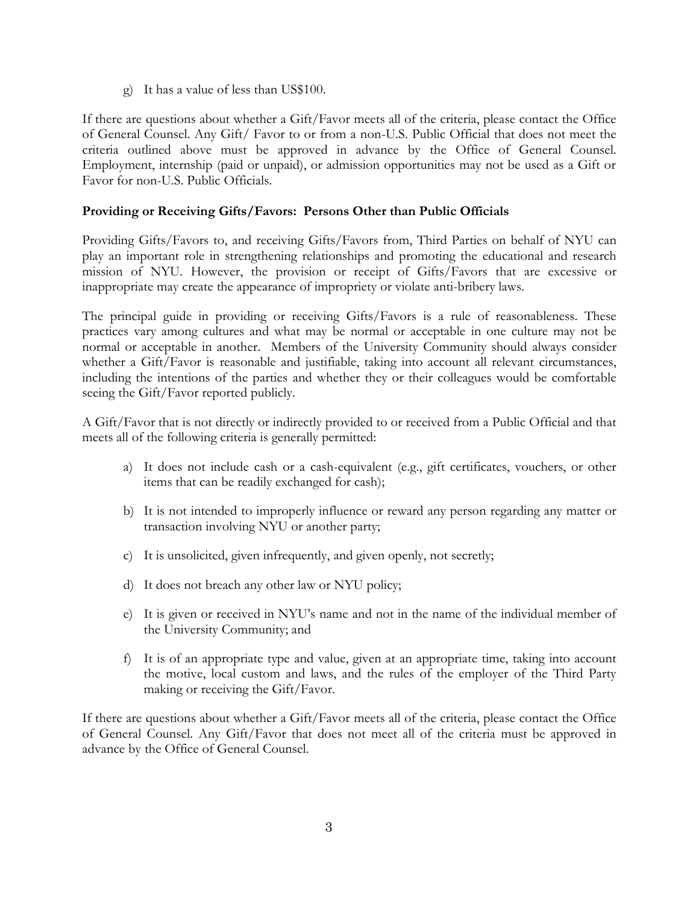g) It has a value of less than US\$100.

If there are questions about whether a Gift/Favor meets all of the criteria, please contact the Office of General Counsel. Any Gift/ Favor to or from a non-U.S. Public Official that does not meet the criteria outlined above must be approved in advance by the Office of General Counsel. Employment, internship (paid or unpaid), or admission opportunities may not be used as a Gift or Favor for non-U.S. Public Officials.

### **Providing or Receiving Gifts/Favors: Persons Other than Public Officials**

Providing Gifts/Favors to, and receiving Gifts/Favors from, Third Parties on behalf of NYU can play an important role in strengthening relationships and promoting the educational and research mission of NYU. However, the provision or receipt of Gifts/Favors that are excessive or inappropriate may create the appearance of impropriety or violate anti-bribery laws.

The principal guide in providing or receiving Gifts/Favors is a rule of reasonableness. These practices vary among cultures and what may be normal or acceptable in one culture may not be normal or acceptable in another. Members of the University Community should always consider whether a Gift/Favor is reasonable and justifiable, taking into account all relevant circumstances, including the intentions of the parties and whether they or their colleagues would be comfortable seeing the Gift/Favor reported publicly.

A Gift/Favor that is not directly or indirectly provided to or received from a Public Official and that meets all of the following criteria is generally permitted:

- a) It does not include cash or a cash-equivalent (e.g., gift certificates, vouchers, or other items that can be readily exchanged for cash);
- b) It is not intended to improperly influence or reward any person regarding any matter or transaction involving NYU or another party;
- c) It is unsolicited, given infrequently, and given openly, not secretly;
- d) It does not breach any other law or NYU policy;
- e) It is given or received in NYU's name and not in the name of the individual member of the University Community; and
- f) It is of an appropriate type and value, given at an appropriate time, taking into account the motive, local custom and laws, and the rules of the employer of the Third Party making or receiving the Gift/Favor.

If there are questions about whether a Gift/Favor meets all of the criteria, please contact the Office of General Counsel. Any Gift/Favor that does not meet all of the criteria must be approved in advance by the Office of General Counsel.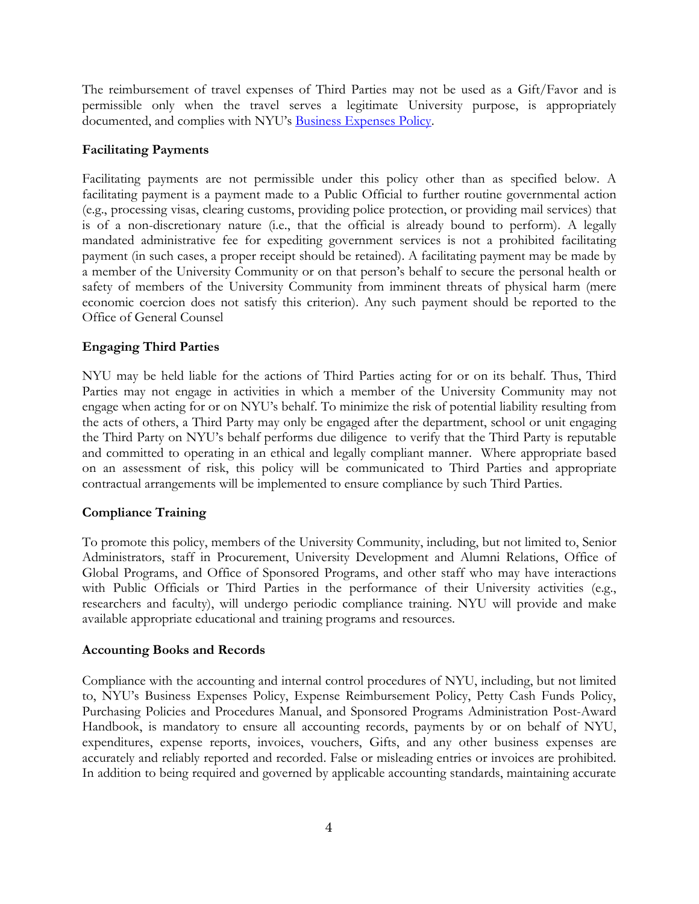The reimbursement of travel expenses of Third Parties may not be used as a Gift/Favor and is permissible only when the travel serves a legitimate University purpose, is appropriately documented, and complies with NYU's [Business Expenses Policy.](https://www.nyu.edu/content/dam/nyu/compliance/documents/BusinessExpensesPolicy.pdf)

### **Facilitating Payments**

Facilitating payments are not permissible under this policy other than as specified below. A facilitating payment is a payment made to a Public Official to further routine governmental action (e.g., processing visas, clearing customs, providing police protection, or providing mail services) that is of a non-discretionary nature (i.e., that the official is already bound to perform). A legally mandated administrative fee for expediting government services is not a prohibited facilitating payment (in such cases, a proper receipt should be retained). A facilitating payment may be made by a member of the University Community or on that person's behalf to secure the personal health or safety of members of the University Community from imminent threats of physical harm (mere economic coercion does not satisfy this criterion). Any such payment should be reported to the Office of General Counsel

### **Engaging Third Parties**

NYU may be held liable for the actions of Third Parties acting for or on its behalf. Thus, Third Parties may not engage in activities in which a member of the University Community may not engage when acting for or on NYU's behalf. To minimize the risk of potential liability resulting from the acts of others, a Third Party may only be engaged after the department, school or unit engaging the Third Party on NYU's behalf performs due diligence to verify that the Third Party is reputable and committed to operating in an ethical and legally compliant manner. Where appropriate based on an assessment of risk, this policy will be communicated to Third Parties and appropriate contractual arrangements will be implemented to ensure compliance by such Third Parties.

## **Compliance Training**

To promote this policy, members of the University Community, including, but not limited to, Senior Administrators, staff in Procurement, University Development and Alumni Relations, Office of Global Programs, and Office of Sponsored Programs, and other staff who may have interactions with Public Officials or Third Parties in the performance of their University activities (e.g., researchers and faculty), will undergo periodic compliance training. NYU will provide and make available appropriate educational and training programs and resources.

### **Accounting Books and Records**

Compliance with the accounting and internal control procedures of NYU, including, but not limited to, NYU's Business Expenses Policy, Expense Reimbursement Policy, Petty Cash Funds Policy, Purchasing Policies and Procedures Manual, and Sponsored Programs Administration Post-Award Handbook, is mandatory to ensure all accounting records, payments by or on behalf of NYU, expenditures, expense reports, invoices, vouchers, Gifts, and any other business expenses are accurately and reliably reported and recorded. False or misleading entries or invoices are prohibited. In addition to being required and governed by applicable accounting standards, maintaining accurate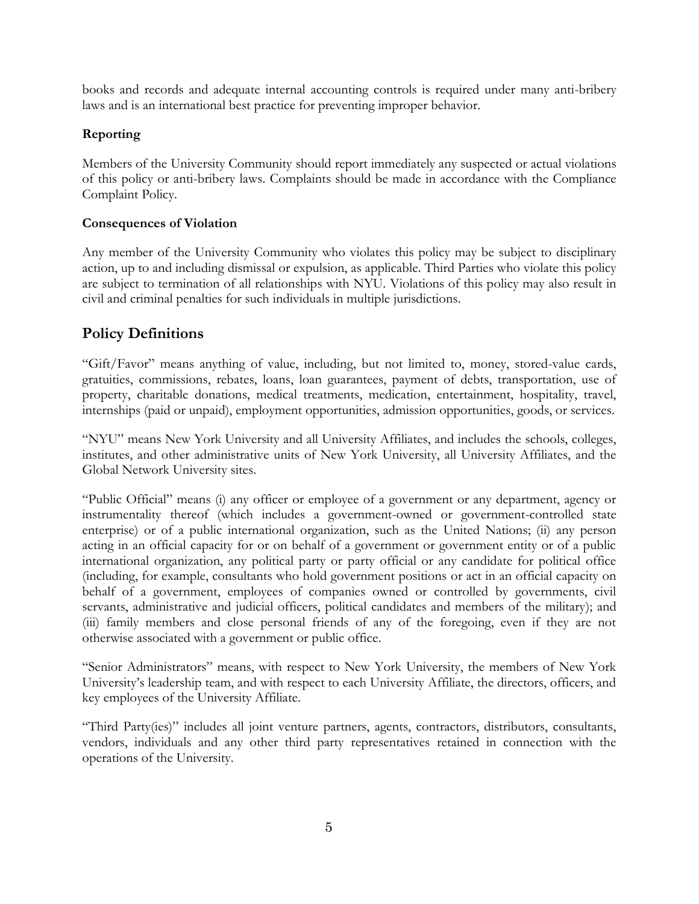books and records and adequate internal accounting controls is required under many anti-bribery laws and is an international best practice for preventing improper behavior.

## **Reporting**

Members of the University Community should report immediately any suspected or actual violations of this policy or anti-bribery laws. Complaints should be made in accordance with the Compliance Complaint Policy.

### **Consequences of Violation**

Any member of the University Community who violates this policy may be subject to disciplinary action, up to and including dismissal or expulsion, as applicable. Third Parties who violate this policy are subject to termination of all relationships with NYU. Violations of this policy may also result in civil and criminal penalties for such individuals in multiple jurisdictions.

# **Policy Definitions**

"Gift/Favor" means anything of value, including, but not limited to, money, stored-value cards, gratuities, commissions, rebates, loans, loan guarantees, payment of debts, transportation, use of property, charitable donations, medical treatments, medication, entertainment, hospitality, travel, internships (paid or unpaid), employment opportunities, admission opportunities, goods, or services.

"NYU" means New York University and all University Affiliates, and includes the schools, colleges, institutes, and other administrative units of New York University, all University Affiliates, and the Global Network University sites.

"Public Official" means (i) any officer or employee of a government or any department, agency or instrumentality thereof (which includes a government-owned or government-controlled state enterprise) or of a public international organization, such as the United Nations; (ii) any person acting in an official capacity for or on behalf of a government or government entity or of a public international organization, any political party or party official or any candidate for political office (including, for example, consultants who hold government positions or act in an official capacity on behalf of a government, employees of companies owned or controlled by governments, civil servants, administrative and judicial officers, political candidates and members of the military); and (iii) family members and close personal friends of any of the foregoing, even if they are not otherwise associated with a government or public office.

"Senior Administrators" means, with respect to New York University, the members of New York University's leadership team, and with respect to each University Affiliate, the directors, officers, and key employees of the University Affiliate.

"Third Party(ies)" includes all joint venture partners, agents, contractors, distributors, consultants, vendors, individuals and any other third party representatives retained in connection with the operations of the University.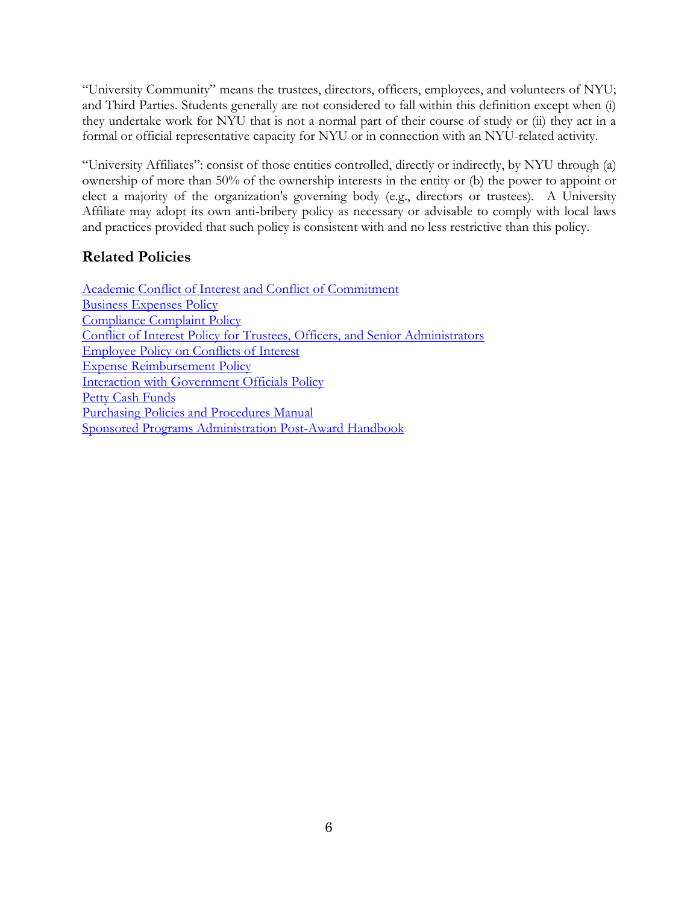"University Community" means the trustees, directors, officers, employees, and volunteers of NYU; and Third Parties. Students generally are not considered to fall within this definition except when (i) they undertake work for NYU that is not a normal part of their course of study or (ii) they act in a formal or official representative capacity for NYU or in connection with an NYU-related activity.

"University Affiliates": consist of those entities controlled, directly or indirectly, by NYU through (a) ownership of more than 50% of the ownership interests in the entity or (b) the power to appoint or elect a majority of the organization's governing body (e.g., directors or trustees). A University Affiliate may adopt its own anti-bribery policy as necessary or advisable to comply with local laws and practices provided that such policy is consistent with and no less restrictive than this policy.

# **Related Policies**

[Academic Conflict of Interest and Conflict of Commitment](https://www.nyu.edu/content/dam/nyu/compliance/documents/AcademicCOI.2013.pdf) [Business Expenses Policy](http://www.nyu.edu/content/dam/nyu/compliance/documents/BusinessExpensesPolicy.June2017.pdf) [Compliance Complaint Policy](https://www.nyu.edu/content/dam/nyu/compliance/documents/ComplianceComplaintPolicy2015.pdf) [Conflict of Interest Policy for Trustees, Officers, and Senior Administrators](https://www.nyu.edu/content/dam/nyu/compliance/documents/ConflictsofInterestPolicy2.23.16.pdf) [Employee Policy on Conflicts of Interest](https://www.nyu.edu/content/dam/nyu/compliance/documents/EmployeeConflictsofInterest.2016.pdf) [Expense Reimbursement Policy](https://www.nyu.edu/content/dam/nyu/compliance/documents/ExpenseReimbursementPolicy.pdf) [Interaction with Government Officials](https://www.nyu.edu/about/policies-guidelines-compliance/policies-and-guidelines/interaction-with-government-officials.html) Policy [Petty Cash Funds](https://www.nyu.edu/content/dam/nyu/compliance/documents/PettyCashFundsPolicy3.26.12.pdf) [Purchasing Policies and Procedures Manual](https://www.nyu.edu/content/dam/nyu/compliance/documents/PurchasingPoliciesProcedures.2015.Edition21.pdf) [Sponsored Programs Administration Post-Award Handbook](https://www.nyu.edu/research/resources-and-support-offices/sponsored-programs-administration-handbook.html)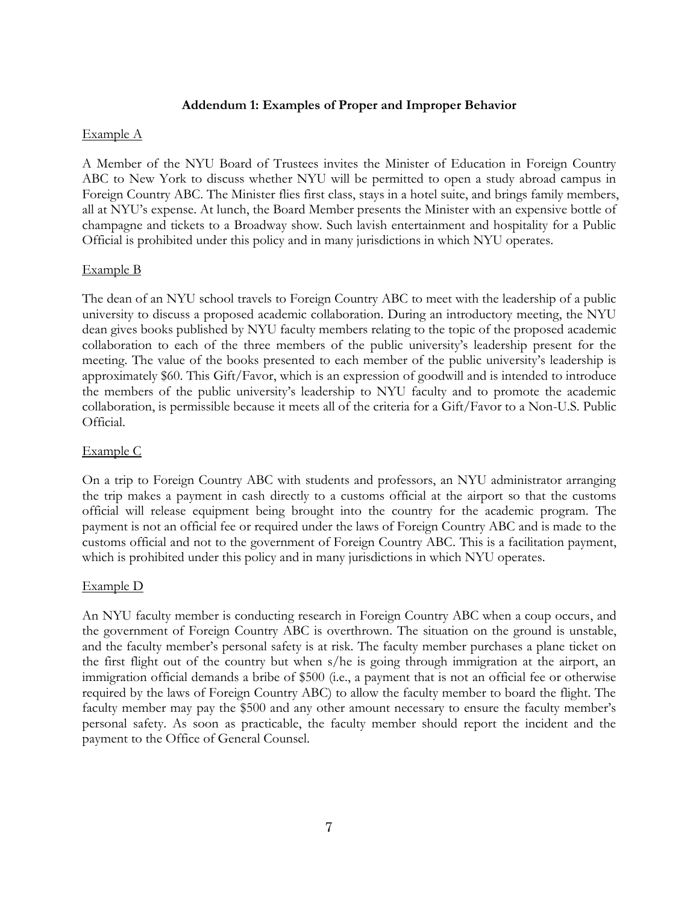### **Addendum 1: Examples of Proper and Improper Behavior**

### Example A

A Member of the NYU Board of Trustees invites the Minister of Education in Foreign Country ABC to New York to discuss whether NYU will be permitted to open a study abroad campus in Foreign Country ABC. The Minister flies first class, stays in a hotel suite, and brings family members, all at NYU's expense. At lunch, the Board Member presents the Minister with an expensive bottle of champagne and tickets to a Broadway show. Such lavish entertainment and hospitality for a Public Official is prohibited under this policy and in many jurisdictions in which NYU operates.

### Example B

The dean of an NYU school travels to Foreign Country ABC to meet with the leadership of a public university to discuss a proposed academic collaboration. During an introductory meeting, the NYU dean gives books published by NYU faculty members relating to the topic of the proposed academic collaboration to each of the three members of the public university's leadership present for the meeting. The value of the books presented to each member of the public university's leadership is approximately \$60. This Gift/Favor, which is an expression of goodwill and is intended to introduce the members of the public university's leadership to NYU faculty and to promote the academic collaboration, is permissible because it meets all of the criteria for a Gift/Favor to a Non-U.S. Public Official.

### Example C

On a trip to Foreign Country ABC with students and professors, an NYU administrator arranging the trip makes a payment in cash directly to a customs official at the airport so that the customs official will release equipment being brought into the country for the academic program. The payment is not an official fee or required under the laws of Foreign Country ABC and is made to the customs official and not to the government of Foreign Country ABC. This is a facilitation payment, which is prohibited under this policy and in many jurisdictions in which NYU operates.

### Example D

An NYU faculty member is conducting research in Foreign Country ABC when a coup occurs, and the government of Foreign Country ABC is overthrown. The situation on the ground is unstable, and the faculty member's personal safety is at risk. The faculty member purchases a plane ticket on the first flight out of the country but when s/he is going through immigration at the airport, an immigration official demands a bribe of \$500 (i.e., a payment that is not an official fee or otherwise required by the laws of Foreign Country ABC) to allow the faculty member to board the flight. The faculty member may pay the \$500 and any other amount necessary to ensure the faculty member's personal safety. As soon as practicable, the faculty member should report the incident and the payment to the Office of General Counsel.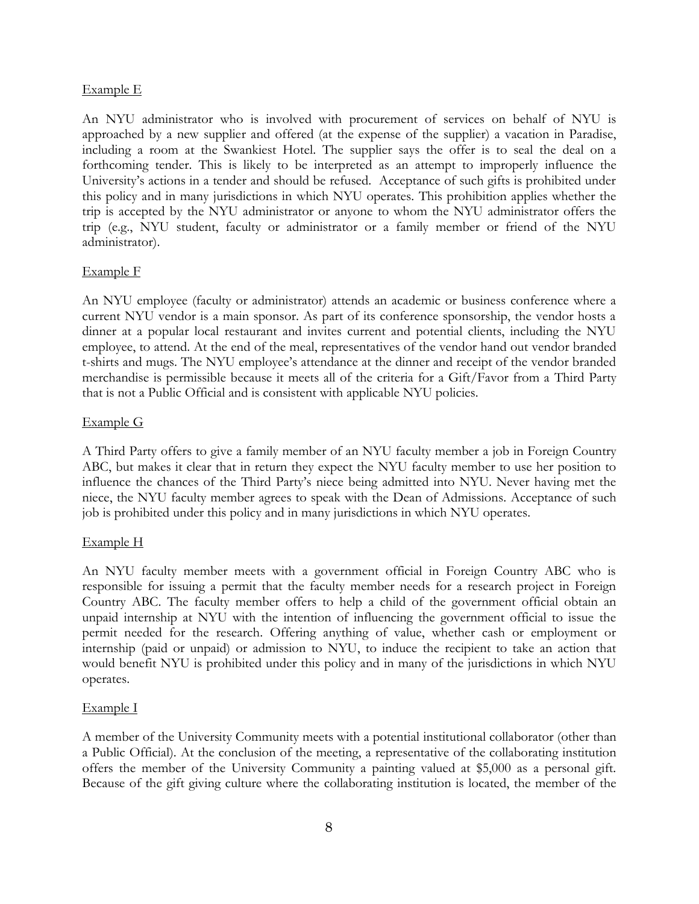#### Example E

An NYU administrator who is involved with procurement of services on behalf of NYU is approached by a new supplier and offered (at the expense of the supplier) a vacation in Paradise, including a room at the Swankiest Hotel. The supplier says the offer is to seal the deal on a forthcoming tender. This is likely to be interpreted as an attempt to improperly influence the University's actions in a tender and should be refused. Acceptance of such gifts is prohibited under this policy and in many jurisdictions in which NYU operates. This prohibition applies whether the trip is accepted by the NYU administrator or anyone to whom the NYU administrator offers the trip (e.g., NYU student, faculty or administrator or a family member or friend of the NYU administrator).

### Example F

An NYU employee (faculty or administrator) attends an academic or business conference where a current NYU vendor is a main sponsor. As part of its conference sponsorship, the vendor hosts a dinner at a popular local restaurant and invites current and potential clients, including the NYU employee, to attend. At the end of the meal, representatives of the vendor hand out vendor branded t-shirts and mugs. The NYU employee's attendance at the dinner and receipt of the vendor branded merchandise is permissible because it meets all of the criteria for a Gift/Favor from a Third Party that is not a Public Official and is consistent with applicable NYU policies.

### Example G

A Third Party offers to give a family member of an NYU faculty member a job in Foreign Country ABC, but makes it clear that in return they expect the NYU faculty member to use her position to influence the chances of the Third Party's niece being admitted into NYU. Never having met the niece, the NYU faculty member agrees to speak with the Dean of Admissions. Acceptance of such job is prohibited under this policy and in many jurisdictions in which NYU operates.

### Example H

An NYU faculty member meets with a government official in Foreign Country ABC who is responsible for issuing a permit that the faculty member needs for a research project in Foreign Country ABC. The faculty member offers to help a child of the government official obtain an unpaid internship at NYU with the intention of influencing the government official to issue the permit needed for the research. Offering anything of value, whether cash or employment or internship (paid or unpaid) or admission to NYU, to induce the recipient to take an action that would benefit NYU is prohibited under this policy and in many of the jurisdictions in which NYU operates.

### Example I

A member of the University Community meets with a potential institutional collaborator (other than a Public Official). At the conclusion of the meeting, a representative of the collaborating institution offers the member of the University Community a painting valued at \$5,000 as a personal gift. Because of the gift giving culture where the collaborating institution is located, the member of the